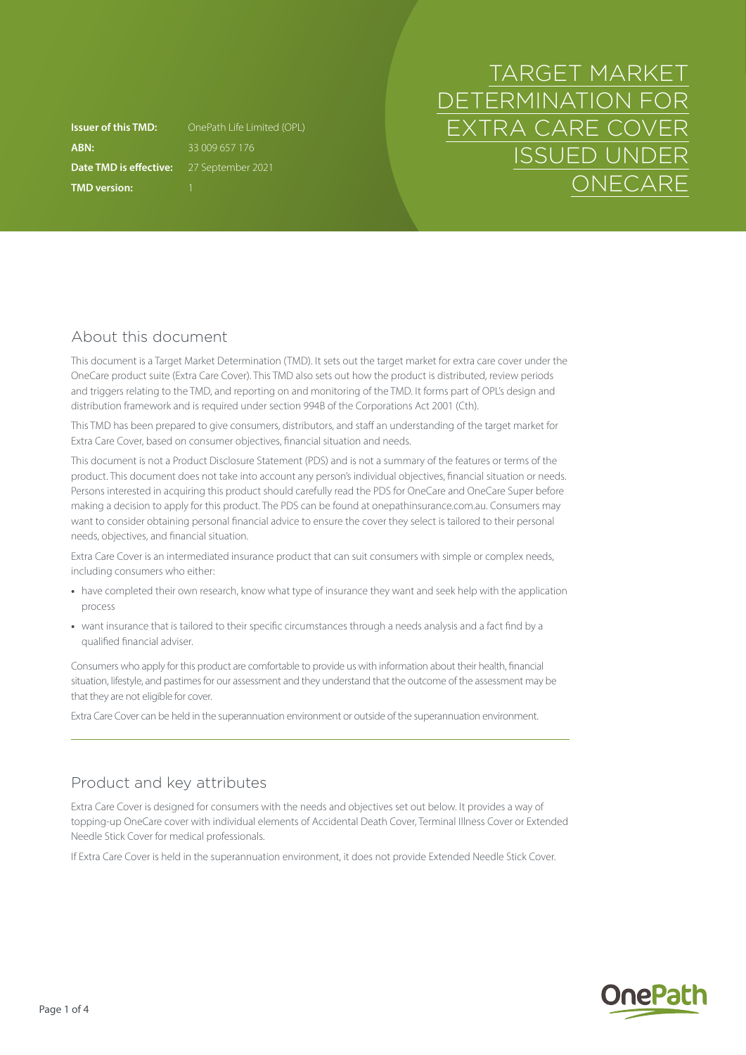**ABN:** 33 009 657 176 **Date TMD is effective:** 27 September 2021 **TMD version:** 1

**Issuer of this TMD:** OnePath Life Limited (OPL)

# TARGET MARKET DETERMINATION FOR EXTRA CARE COVER ISSUED UNDER **ONECARE**

# About this document

This document is a Target Market Determination (TMD). It sets out the target market for extra care cover under the OneCare product suite (Extra Care Cover). This TMD also sets out how the product is distributed, review periods and triggers relating to the TMD, and reporting on and monitoring of the TMD. It forms part of OPL's design and distribution framework and is required under section 994B of the Corporations Act 2001 (Cth).

This TMD has been prepared to give consumers, distributors, and staff an understanding of the target market for Extra Care Cover, based on consumer objectives, financial situation and needs.

This document is not a Product Disclosure Statement (PDS) and is not a summary of the features or terms of the product. This document does not take into account any person's individual objectives, financial situation or needs. Persons interested in acquiring this product should carefully read the PDS for OneCare and OneCare Super before making a decision to apply for this product. The PDS can be found at [onepathinsurance.com.au.](http://onepathinsurance.com.au) Consumers may want to consider obtaining personal financial advice to ensure the cover they select is tailored to their personal needs, objectives, and financial situation.

Extra Care Cover is an intermediated insurance product that can suit consumers with simple or complex needs, including consumers who either:

- **•** have completed their own research, know what type of insurance they want and seek help with the application process
- **•** want insurance that is tailored to their specific circumstances through a needs analysis and a fact find by a qualified financial adviser.

Consumers who apply for this product are comfortable to provide us with information about their health, financial situation, lifestyle, and pastimes for our assessment and they understand that the outcome of the assessment may be that they are not eligible for cover.

Extra Care Cover can be held in the superannuation environment or outside of the superannuation environment.

# Product and key attributes

Extra Care Cover is designed for consumers with the needs and objectives set out below. It provides a way of topping-up OneCare cover with individual elements of Accidental Death Cover, Terminal Illness Cover or Extended Needle Stick Cover for medical professionals.

If Extra Care Cover is held in the superannuation environment, it does not provide Extended Needle Stick Cover.

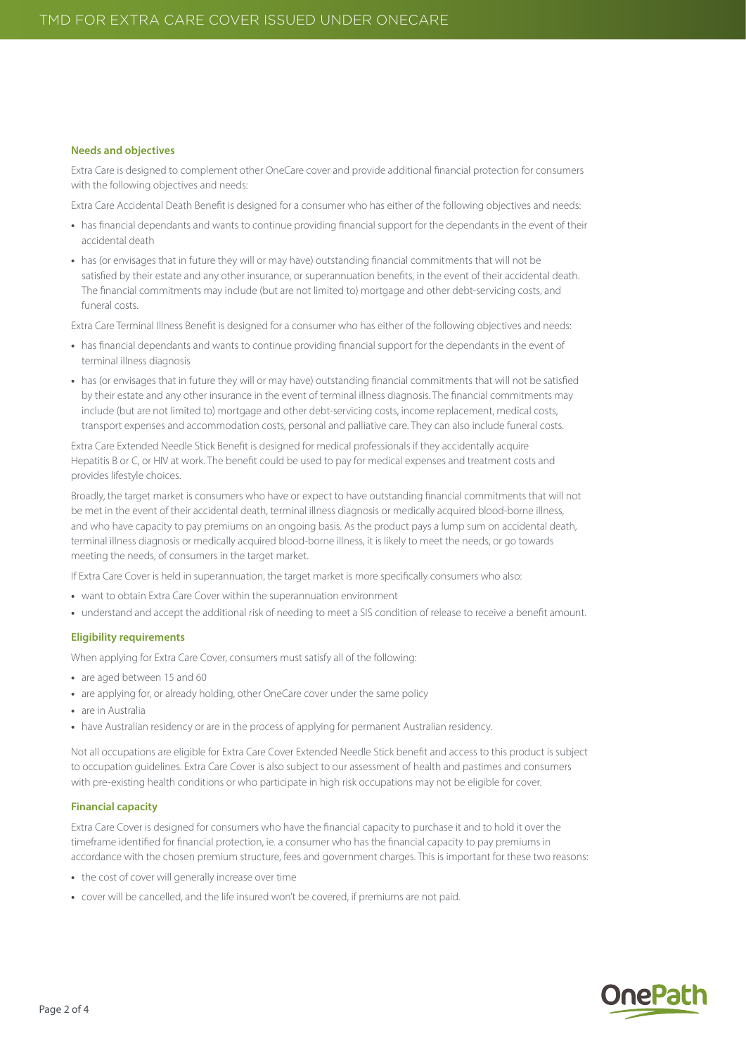#### **Needs and objectives**

Extra Care is designed to complement other OneCare cover and provide additional financial protection for consumers with the following objectives and needs:

Extra Care Accidental Death Benefit is designed for a consumer who has either of the following objectives and needs:

- **•** has financial dependants and wants to continue providing financial support for the dependants in the event of their accidental death
- **•** has (or envisages that in future they will or may have) outstanding financial commitments that will not be satisfied by their estate and any other insurance, or superannuation benefits, in the event of their accidental death. The financial commitments may include (but are not limited to) mortgage and other debt-servicing costs, and funeral costs.

Extra Care Terminal Illness Benefit is designed for a consumer who has either of the following objectives and needs:

- **•** has financial dependants and wants to continue providing financial support for the dependants in the event of terminal illness diagnosis
- **•** has (or envisages that in future they will or may have) outstanding financial commitments that will not be satisfied by their estate and any other insurance in the event of terminal illness diagnosis. The financial commitments may include (but are not limited to) mortgage and other debt-servicing costs, income replacement, medical costs, transport expenses and accommodation costs, personal and palliative care. They can also include funeral costs.

Extra Care Extended Needle Stick Benefit is designed for medical professionals if they accidentally acquire Hepatitis B or C, or HIV at work. The benefit could be used to pay for medical expenses and treatment costs and provides lifestyle choices.

Broadly, the target market is consumers who have or expect to have outstanding financial commitments that will not be met in the event of their accidental death, terminal illness diagnosis or medically acquired blood-borne illness, and who have capacity to pay premiums on an ongoing basis. As the product pays a lump sum on accidental death, terminal illness diagnosis or medically acquired blood-borne illness, it is likely to meet the needs, or go towards meeting the needs, of consumers in the target market.

If Extra Care Cover is held in superannuation, the target market is more specifically consumers who also:

- **•** want to obtain Extra Care Cover within the superannuation environment
- **•** understand and accept the additional risk of needing to meet a SIS condition of release to receive a benefit amount.

#### **Eligibility requirements**

When applying for Extra Care Cover, consumers must satisfy all of the following:

- **•** are aged between 15 and 60
- **•** are applying for, or already holding, other OneCare cover under the same policy
- **•** are in Australia
- **•** have Australian residency or are in the process of applying for permanent Australian residency.

Not all occupations are eligible for Extra Care Cover Extended Needle Stick benefit and access to this product is subject to occupation guidelines. Extra Care Cover is also subject to our assessment of health and pastimes and consumers with pre-existing health conditions or who participate in high risk occupations may not be eligible for cover.

#### **Financial capacity**

Extra Care Cover is designed for consumers who have the financial capacity to purchase it and to hold it over the timeframe identified for financial protection, ie. a consumer who has the financial capacity to pay premiums in accordance with the chosen premium structure, fees and government charges. This is important for these two reasons:

- **•** the cost of cover will generally increase over time
- **•** cover will be cancelled, and the life insured won't be covered, if premiums are not paid.

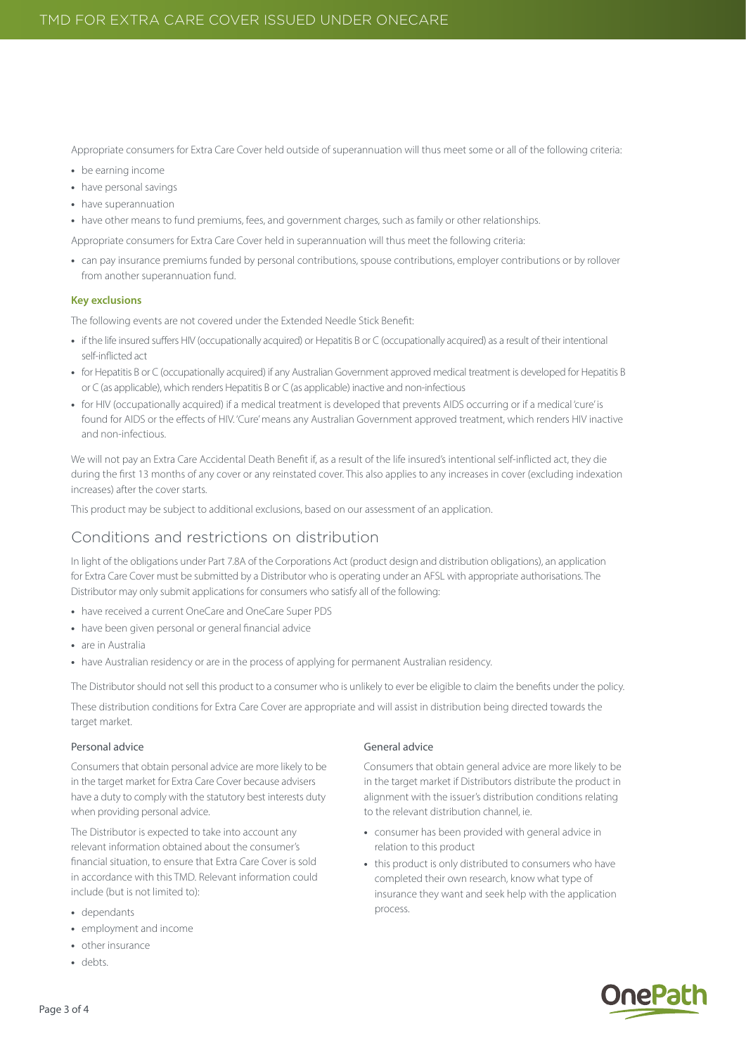Appropriate consumers for Extra Care Cover held outside of superannuation will thus meet some or all of the following criteria:

- **•** be earning income
- **•** have personal savings
- **•** have superannuation
- **•** have other means to fund premiums, fees, and government charges, such as family or other relationships.
- Appropriate consumers for Extra Care Cover held in superannuation will thus meet the following criteria:
- can pay insurance premiums funded by personal contributions, spouse contributions, employer contributions or by rollover from another superannuation fund.

#### **Key exclusions**

The following events are not covered under the Extended Needle Stick Benefit:

- **•** if the life insured suffers HIV (occupationally acquired) or Hepatitis B or C (occupationally acquired) as a result of their intentional self-inflicted act
- **•** for Hepatitis B or C (occupationally acquired) if any Australian Government approved medical treatment is developed for Hepatitis B or C (as applicable), which renders Hepatitis B or C (as applicable) inactive and non-infectious
- **•** for HIV (occupationally acquired) if a medical treatment is developed that prevents AIDS occurring or if a medical 'cure' is found for AIDS or the effects of HIV. 'Cure' means any Australian Government approved treatment, which renders HIV inactive and non-infectious.

We will not pay an Extra Care Accidental Death Benefit if, as a result of the life insured's intentional self-inflicted act, they die during the first 13 months of any cover or any reinstated cover. This also applies to any increases in cover (excluding indexation increases) after the cover starts.

This product may be subject to additional exclusions, based on our assessment of an application.

## Conditions and restrictions on distribution

In light of the obligations under Part 7.8A of the Corporations Act (product design and distribution obligations), an application for Extra Care Cover must be submitted by a Distributor who is operating under an AFSL with appropriate authorisations. The Distributor may only submit applications for consumers who satisfy all of the following:

- **•** have received a current OneCare and OneCare Super PDS
- **•** have been given personal or general financial advice
- **•** are in Australia
- **•** have Australian residency or are in the process of applying for permanent Australian residency.

The Distributor should not sell this product to a consumer who is unlikely to ever be eligible to claim the benefits under the policy.

These distribution conditions for Extra Care Cover are appropriate and will assist in distribution being directed towards the target market.

#### Personal advice

Consumers that obtain personal advice are more likely to be in the target market for Extra Care Cover because advisers have a duty to comply with the statutory best interests duty when providing personal advice.

The Distributor is expected to take into account any relevant information obtained about the consumer's financial situation, to ensure that Extra Care Cover is sold in accordance with this TMD. Relevant information could include (but is not limited to):

- **•** dependants
- **•** employment and income
- **•** other insurance
- **•** debts.

## General advice

Consumers that obtain general advice are more likely to be in the target market if Distributors distribute the product in alignment with the issuer's distribution conditions relating to the relevant distribution channel, ie.

- **•** consumer has been provided with general advice in relation to this product
- **•** this product is only distributed to consumers who have completed their own research, know what type of insurance they want and seek help with the application process.